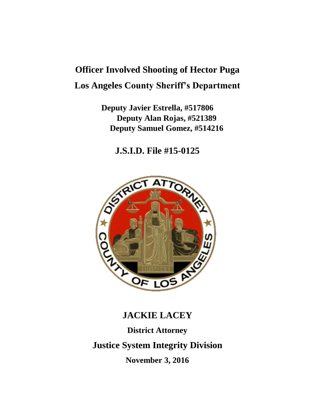# **Officer Involved Shooting of Hector Puga Los Angeles County Sheriff's Department**

**Deputy Javier Estrella, #517806 Deputy Alan Rojas, #521389 Deputy Samuel Gomez, #514216**

**J.S.I.D. File #15-0125**



## **JACKIE LACEY**

**District Attorney**

**Justice System Integrity Division**

**November 3, 2016**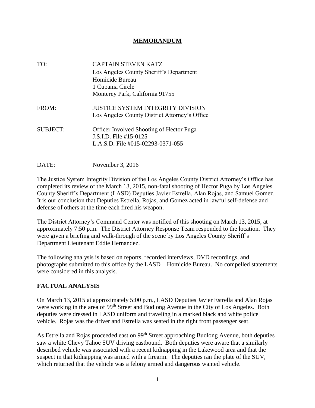#### **MEMORANDUM**

| TO:             | <b>CAPTAIN STEVEN KATZ</b>                                                                                     |
|-----------------|----------------------------------------------------------------------------------------------------------------|
|                 | Los Angeles County Sheriff's Department                                                                        |
|                 | Homicide Bureau                                                                                                |
|                 | 1 Cupania Circle                                                                                               |
|                 | Monterey Park, California 91755                                                                                |
| FROM:           | <b>JUSTICE SYSTEM INTEGRITY DIVISION</b><br>Los Angeles County District Attorney's Office                      |
| <b>SUBJECT:</b> | <b>Officer Involved Shooting of Hector Puga</b><br>J.S.I.D. File #15-0125<br>L.A.S.D. File #015-02293-0371-055 |
|                 |                                                                                                                |

DATE: November 3, 2016

The Justice System Integrity Division of the Los Angeles County District Attorney's Office has completed its review of the March 13, 2015, non-fatal shooting of Hector Puga by Los Angeles County Sheriff's Department (LASD) Deputies Javier Estrella, Alan Rojas, and Samuel Gomez. It is our conclusion that Deputies Estrella, Rojas, and Gomez acted in lawful self-defense and defense of others at the time each fired his weapon.

The District Attorney's Command Center was notified of this shooting on March 13, 2015, at approximately 7:50 p.m. The District Attorney Response Team responded to the location. They were given a briefing and walk-through of the scene by Los Angeles County Sheriff's Department Lieutenant Eddie Hernandez.

The following analysis is based on reports, recorded interviews, DVD recordings, and photographs submitted to this office by the LASD – Homicide Bureau. No compelled statements were considered in this analysis.

#### **FACTUAL ANALYSIS**

On March 13, 2015 at approximately 5:00 p.m., LASD Deputies Javier Estrella and Alan Rojas were working in the area of 99<sup>th</sup> Street and Budlong Avenue in the City of Los Angeles. Both deputies were dressed in LASD uniform and traveling in a marked black and white police vehicle. Rojas was the driver and Estrella was seated in the right front passenger seat.

As Estrella and Rojas proceeded east on 99<sup>th</sup> Street approaching Budlong Avenue, both deputies saw a white Chevy Tahoe SUV driving eastbound. Both deputies were aware that a similarly described vehicle was associated with a recent kidnapping in the Lakewood area and that the suspect in that kidnapping was armed with a firearm. The deputies ran the plate of the SUV, which returned that the vehicle was a felony armed and dangerous wanted vehicle.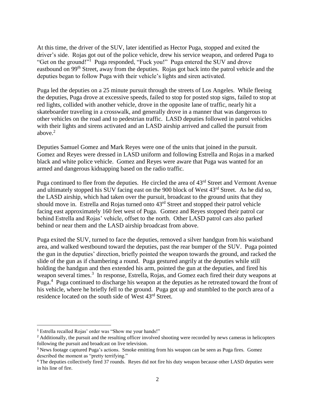At this time, the driver of the SUV, later identified as Hector Puga, stopped and exited the driver's side. Rojas got out of the police vehicle, drew his service weapon, and ordered Puga to "Get on the ground!"<sup>1</sup> Puga responded, "Fuck you!" Puga entered the SUV and drove eastbound on 99th Street, away from the deputies. Rojas got back into the patrol vehicle and the deputies began to follow Puga with their vehicle's lights and siren activated.

Puga led the deputies on a 25 minute pursuit through the streets of Los Angeles. While fleeing the deputies, Puga drove at excessive speeds, failed to stop for posted stop signs, failed to stop at red lights, collided with another vehicle, drove in the opposite lane of traffic, nearly hit a skateboarder traveling in a crosswalk, and generally drove in a manner that was dangerous to other vehicles on the road and to pedestrian traffic. LASD deputies followed in patrol vehicles with their lights and sirens activated and an LASD airship arrived and called the pursuit from above. $2$ 

Deputies Samuel Gomez and Mark Reyes were one of the units that joined in the pursuit. Gomez and Reyes were dressed in LASD uniform and following Estrella and Rojas in a marked black and white police vehicle. Gomez and Reyes were aware that Puga was wanted for an armed and dangerous kidnapping based on the radio traffic.

Puga continued to flee from the deputies. He circled the area of 43<sup>rd</sup> Street and Vermont Avenue and ultimately stopped his SUV facing east on the 900 block of West 43rd Street. As he did so, the LASD airship, which had taken over the pursuit, broadcast to the ground units that they should move in. Estrella and Rojas turned onto  $43<sup>rd</sup>$  Street and stopped their patrol vehicle facing east approximately 160 feet west of Puga. Gomez and Reyes stopped their patrol car behind Estrella and Rojas' vehicle, offset to the north. Other LASD patrol cars also parked behind or near them and the LASD airship broadcast from above.

Puga exited the SUV, turned to face the deputies, removed a silver handgun from his waistband area, and walked westbound toward the deputies, past the rear bumper of the SUV. Puga pointed the gun in the deputies' direction, briefly pointed the weapon towards the ground, and racked the slide of the gun as if chambering a round. Puga gestured angrily at the deputies while still holding the handgun and then extended his arm, pointed the gun at the deputies, and fired his weapon several times.<sup>3</sup> In response, Estrella, Rojas, and Gomez each fired their duty weapons at Puga.<sup>4</sup> Puga continued to discharge his weapon at the deputies as he retreated toward the front of his vehicle, where he briefly fell to the ground. Puga got up and stumbled to the porch area of a residence located on the south side of West 43rd Street.

<sup>1</sup> Estrella recalled Rojas' order was "Show me your hands!"

<sup>&</sup>lt;sup>2</sup> Additionally, the pursuit and the resulting officer involved shooting were recorded by news cameras in helicopters following the pursuit and broadcast on live television.

<sup>3</sup> News footage captured Puga's actions. Smoke emitting from his weapon can be seen as Puga fires. Gomez described the moment as "pretty terrifying."

<sup>4</sup> The deputies collectively fired 37 rounds. Reyes did not fire his duty weapon because other LASD deputies were in his line of fire.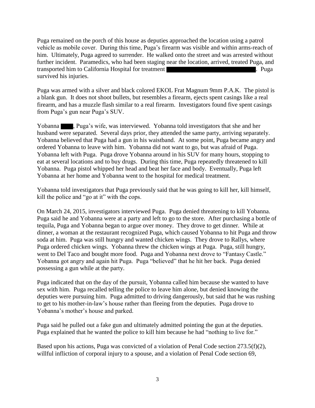Puga remained on the porch of this house as deputies approached the location using a patrol vehicle as mobile cover. During this time, Puga's firearm was visible and within arms-reach of him. Ultimately, Puga agreed to surrender. He walked onto the street and was arrested without further incident. Paramedics, who had been staging near the location, arrived, treated Puga, and transported him to California Hospital for treatment **the contract of the contract of the contract of the contract of the contract of the contract of the contract of the contract of the contract of the contract of the cont** survived his injuries.

Puga was armed with a silver and black colored EKOL Frat Magnum 9mm P.A.K. The pistol is a blank gun. It does not shoot bullets, but resembles a firearm, ejects spent casings like a real firearm, and has a muzzle flash similar to a real firearm. Investigators found five spent casings from Puga's gun near Puga's SUV.

Yobanna , Puga's wife, was interviewed. Yobanna told investigators that she and her husband were separated. Several days prior, they attended the same party, arriving separately. Yobanna believed that Puga had a gun in his waistband. At some point, Puga became angry and ordered Yobanna to leave with him. Yobanna did not want to go, but was afraid of Puga. Yobanna left with Puga. Puga drove Yobanna around in his SUV for many hours, stopping to eat at several locations and to buy drugs. During this time, Puga repeatedly threatened to kill Yobanna. Puga pistol whipped her head and beat her face and body. Eventually, Puga left Yobanna at her home and Yobanna went to the hospital for medical treatment.

Yobanna told investigators that Puga previously said that he was going to kill her, kill himself, kill the police and "go at it" with the cops.

On March 24, 2015, investigators interviewed Puga. Puga denied threatening to kill Yobanna. Puga said he and Yobanna were at a party and left to go to the store. After purchasing a bottle of tequila, Puga and Yobanna began to argue over money. They drove to get dinner. While at dinner, a woman at the restaurant recognized Puga, which caused Yobanna to hit Puga and throw soda at him. Puga was still hungry and wanted chicken wings. They drove to Rallys, where Puga ordered chicken wings. Yobanna threw the chicken wings at Puga. Puga, still hungry, went to Del Taco and bought more food. Puga and Yobanna next drove to "Fantasy Castle." Yobanna got angry and again hit Puga. Puga "believed" that he hit her back. Puga denied possessing a gun while at the party.

Puga indicated that on the day of the pursuit, Yobanna called him because she wanted to have sex with him. Puga recalled telling the police to leave him alone, but denied knowing the deputies were pursuing him. Puga admitted to driving dangerously, but said that he was rushing to get to his mother-in-law's house rather than fleeing from the deputies. Puga drove to Yobanna's mother's house and parked.

Puga said he pulled out a fake gun and ultimately admitted pointing the gun at the deputies. Puga explained that he wanted the police to kill him because he had "nothing to live for."

Based upon his actions, Puga was convicted of a violation of Penal Code section 273.5(f)(2), willful infliction of corporal injury to a spouse, and a violation of Penal Code section 69,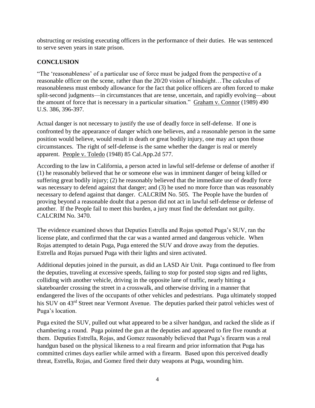obstructing or resisting executing officers in the performance of their duties. He was sentenced to serve seven years in state prison.

### **CONCLUSION**

"The 'reasonableness' of a particular use of force must be judged from the perspective of a reasonable officer on the scene, rather than the 20/20 vision of hindsight…The calculus of reasonableness must embody allowance for the fact that police officers are often forced to make split-second judgments—in circumstances that are tense, uncertain, and rapidly evolving—about the amount of force that is necessary in a particular situation." Graham v. Connor (1989) 490 U.S. 386, 396-397.

Actual danger is not necessary to justify the use of deadly force in self-defense. If one is confronted by the appearance of danger which one believes, and a reasonable person in the same position would believe, would result in death or great bodily injury, one may act upon those circumstances. The right of self-defense is the same whether the danger is real or merely apparent. People v. Toledo (1948) 85 Cal.App.2d 577.

According to the law in California, a person acted in lawful self-defense or defense of another if (1) he reasonably believed that he or someone else was in imminent danger of being killed or suffering great bodily injury; (2) he reasonably believed that the immediate use of deadly force was necessary to defend against that danger; and (3) he used no more force than was reasonably necessary to defend against that danger. CALCRIM No. 505. The People have the burden of proving beyond a reasonable doubt that a person did not act in lawful self-defense or defense of another. If the People fail to meet this burden, a jury must find the defendant not guilty. CALCRIM No. 3470.

The evidence examined shows that Deputies Estrella and Rojas spotted Puga's SUV, ran the license plate, and confirmed that the car was a wanted armed and dangerous vehicle. When Rojas attempted to detain Puga, Puga entered the SUV and drove away from the deputies. Estrella and Rojas pursued Puga with their lights and siren activated.

Additional deputies joined in the pursuit, as did an LASD Air Unit. Puga continued to flee from the deputies, traveling at excessive speeds, failing to stop for posted stop signs and red lights, colliding with another vehicle, driving in the opposite lane of traffic, nearly hitting a skateboarder crossing the street in a crosswalk, and otherwise driving in a manner that endangered the lives of the occupants of other vehicles and pedestrians. Puga ultimately stopped his SUV on 43<sup>rd</sup> Street near Vermont Avenue. The deputies parked their patrol vehicles west of Puga's location.

Puga exited the SUV, pulled out what appeared to be a silver handgun, and racked the slide as if chambering a round. Puga pointed the gun at the deputies and appeared to fire five rounds at them. Deputies Estrella, Rojas, and Gomez reasonably believed that Puga's firearm was a real handgun based on the physical likeness to a real firearm and prior information that Puga has committed crimes days earlier while armed with a firearm. Based upon this perceived deadly threat, Estrella, Rojas, and Gomez fired their duty weapons at Puga, wounding him.